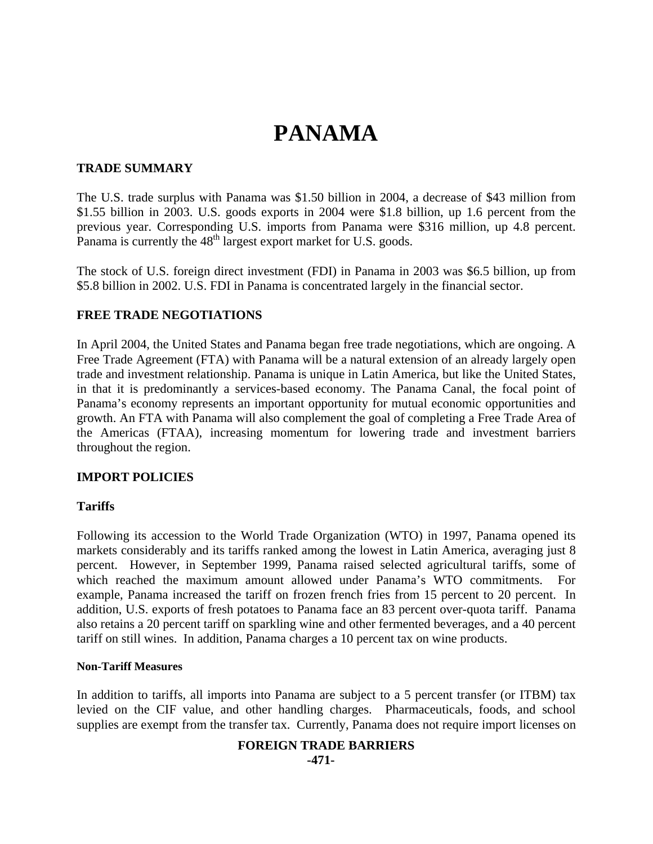# **PANAMA**

## **TRADE SUMMARY**

The U.S. trade surplus with Panama was \$1.50 billion in 2004, a decrease of \$43 million from \$1.55 billion in 2003. U.S. goods exports in 2004 were \$1.8 billion, up 1.6 percent from the previous year. Corresponding U.S. imports from Panama were \$316 million, up 4.8 percent. Panama is currently the 48<sup>th</sup> largest export market for U.S. goods.

The stock of U.S. foreign direct investment (FDI) in Panama in 2003 was \$6.5 billion, up from \$5.8 billion in 2002. U.S. FDI in Panama is concentrated largely in the financial sector.

## **FREE TRADE NEGOTIATIONS**

In April 2004, the United States and Panama began free trade negotiations, which are ongoing. A Free Trade Agreement (FTA) with Panama will be a natural extension of an already largely open trade and investment relationship. Panama is unique in Latin America, but like the United States, in that it is predominantly a services-based economy. The Panama Canal, the focal point of Panama's economy represents an important opportunity for mutual economic opportunities and growth. An FTA with Panama will also complement the goal of completing a Free Trade Area of the Americas (FTAA), increasing momentum for lowering trade and investment barriers throughout the region.

# **IMPORT POLICIES**

## **Tariffs**

Following its accession to the World Trade Organization (WTO) in 1997, Panama opened its markets considerably and its tariffs ranked among the lowest in Latin America, averaging just 8 percent. However, in September 1999, Panama raised selected agricultural tariffs, some of which reached the maximum amount allowed under Panama's WTO commitments. For example, Panama increased the tariff on frozen french fries from 15 percent to 20 percent. In addition, U.S. exports of fresh potatoes to Panama face an 83 percent over-quota tariff. Panama also retains a 20 percent tariff on sparkling wine and other fermented beverages, and a 40 percent tariff on still wines. In addition, Panama charges a 10 percent tax on wine products.

## **Non-Tariff Measures**

In addition to tariffs, all imports into Panama are subject to a 5 percent transfer (or ITBM) tax levied on the CIF value, and other handling charges. Pharmaceuticals, foods, and school supplies are exempt from the transfer tax. Currently, Panama does not require import licenses on

## **FOREIGN TRADE BARRIERS -471-**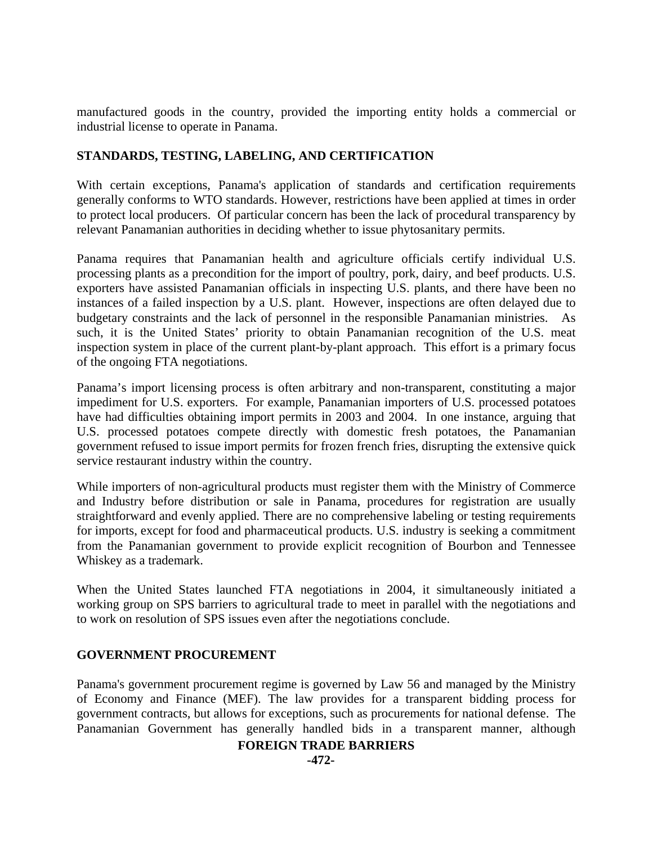manufactured goods in the country, provided the importing entity holds a commercial or industrial license to operate in Panama.

# **STANDARDS, TESTING, LABELING, AND CERTIFICATION**

With certain exceptions, Panama's application of standards and certification requirements generally conforms to WTO standards. However, restrictions have been applied at times in order to protect local producers. Of particular concern has been the lack of procedural transparency by relevant Panamanian authorities in deciding whether to issue phytosanitary permits.

Panama requires that Panamanian health and agriculture officials certify individual U.S. processing plants as a precondition for the import of poultry, pork, dairy, and beef products. U.S. exporters have assisted Panamanian officials in inspecting U.S. plants, and there have been no instances of a failed inspection by a U.S. plant. However, inspections are often delayed due to budgetary constraints and the lack of personnel in the responsible Panamanian ministries. As such, it is the United States' priority to obtain Panamanian recognition of the U.S. meat inspection system in place of the current plant-by-plant approach. This effort is a primary focus of the ongoing FTA negotiations.

Panama's import licensing process is often arbitrary and non-transparent, constituting a major impediment for U.S. exporters. For example, Panamanian importers of U.S. processed potatoes have had difficulties obtaining import permits in 2003 and 2004. In one instance, arguing that U.S. processed potatoes compete directly with domestic fresh potatoes, the Panamanian government refused to issue import permits for frozen french fries, disrupting the extensive quick service restaurant industry within the country.

While importers of non-agricultural products must register them with the Ministry of Commerce and Industry before distribution or sale in Panama, procedures for registration are usually straightforward and evenly applied. There are no comprehensive labeling or testing requirements for imports, except for food and pharmaceutical products. U.S. industry is seeking a commitment from the Panamanian government to provide explicit recognition of Bourbon and Tennessee Whiskey as a trademark.

When the United States launched FTA negotiations in 2004, it simultaneously initiated a working group on SPS barriers to agricultural trade to meet in parallel with the negotiations and to work on resolution of SPS issues even after the negotiations conclude.

# **GOVERNMENT PROCUREMENT**

Panama's government procurement regime is governed by Law 56 and managed by the Ministry of Economy and Finance (MEF). The law provides for a transparent bidding process for government contracts, but allows for exceptions, such as procurements for national defense. The Panamanian Government has generally handled bids in a transparent manner, although

## **FOREIGN TRADE BARRIERS**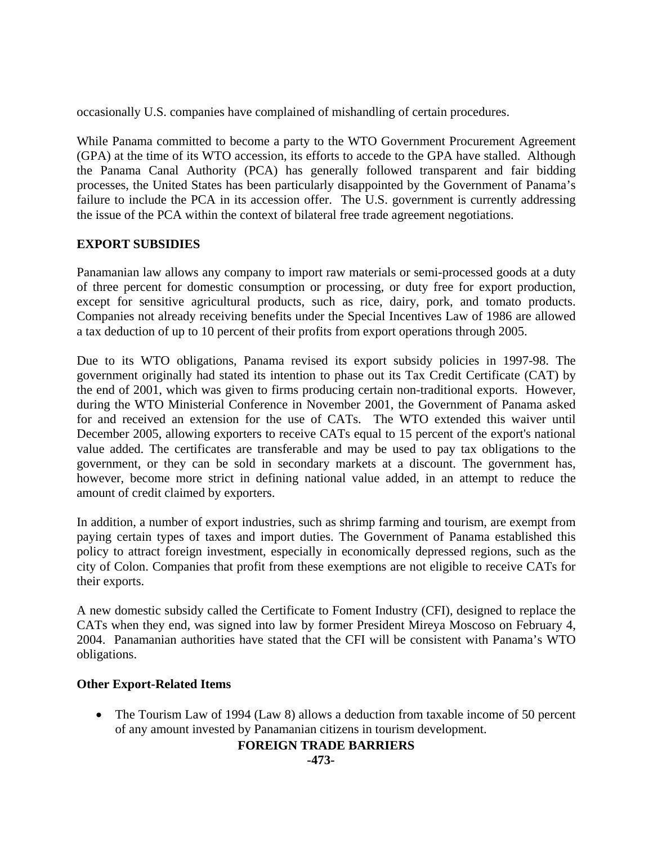occasionally U.S. companies have complained of mishandling of certain procedures.

While Panama committed to become a party to the WTO Government Procurement Agreement (GPA) at the time of its WTO accession, its efforts to accede to the GPA have stalled. Although the Panama Canal Authority (PCA) has generally followed transparent and fair bidding processes, the United States has been particularly disappointed by the Government of Panama's failure to include the PCA in its accession offer. The U.S. government is currently addressing the issue of the PCA within the context of bilateral free trade agreement negotiations.

# **EXPORT SUBSIDIES**

Panamanian law allows any company to import raw materials or semi-processed goods at a duty of three percent for domestic consumption or processing, or duty free for export production, except for sensitive agricultural products, such as rice, dairy, pork, and tomato products. Companies not already receiving benefits under the Special Incentives Law of 1986 are allowed a tax deduction of up to 10 percent of their profits from export operations through 2005.

Due to its WTO obligations, Panama revised its export subsidy policies in 1997-98. The government originally had stated its intention to phase out its Tax Credit Certificate (CAT) by the end of 2001, which was given to firms producing certain non-traditional exports. However, during the WTO Ministerial Conference in November 2001, the Government of Panama asked for and received an extension for the use of CATs. The WTO extended this waiver until December 2005, allowing exporters to receive CATs equal to 15 percent of the export's national value added. The certificates are transferable and may be used to pay tax obligations to the government, or they can be sold in secondary markets at a discount. The government has, however, become more strict in defining national value added, in an attempt to reduce the amount of credit claimed by exporters.

In addition, a number of export industries, such as shrimp farming and tourism, are exempt from paying certain types of taxes and import duties. The Government of Panama established this policy to attract foreign investment, especially in economically depressed regions, such as the city of Colon. Companies that profit from these exemptions are not eligible to receive CATs for their exports.

A new domestic subsidy called the Certificate to Foment Industry (CFI), designed to replace the CATs when they end, was signed into law by former President Mireya Moscoso on February 4, 2004. Panamanian authorities have stated that the CFI will be consistent with Panama's WTO obligations.

# **Other Export-Related Items**

• The Tourism Law of 1994 (Law 8) allows a deduction from taxable income of 50 percent of any amount invested by Panamanian citizens in tourism development.

# **FOREIGN TRADE BARRIERS**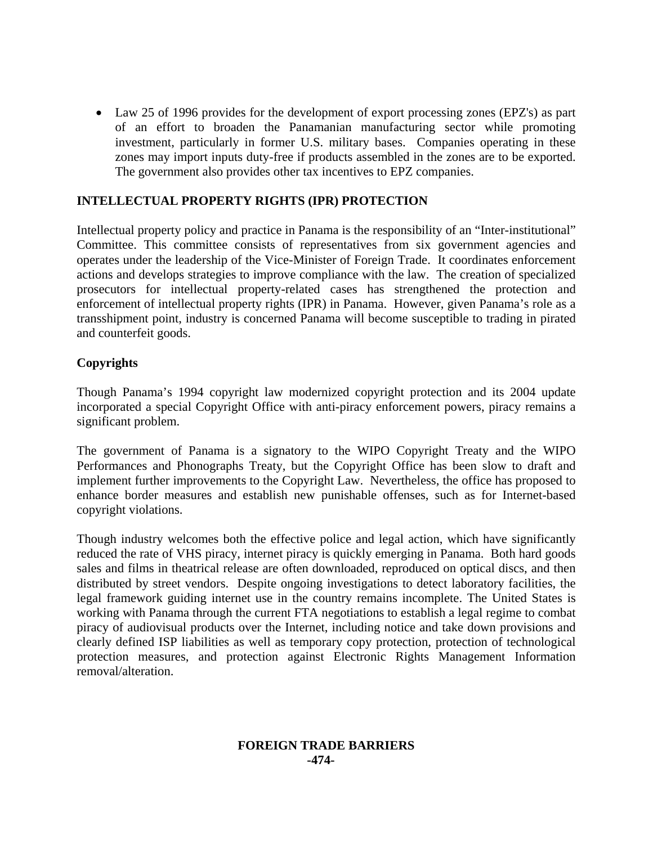• Law 25 of 1996 provides for the development of export processing zones (EPZ's) as part of an effort to broaden the Panamanian manufacturing sector while promoting investment, particularly in former U.S. military bases. Companies operating in these zones may import inputs duty-free if products assembled in the zones are to be exported. The government also provides other tax incentives to EPZ companies.

# **INTELLECTUAL PROPERTY RIGHTS (IPR) PROTECTION**

Intellectual property policy and practice in Panama is the responsibility of an "Inter-institutional" Committee. This committee consists of representatives from six government agencies and operates under the leadership of the Vice-Minister of Foreign Trade. It coordinates enforcement actions and develops strategies to improve compliance with the law. The creation of specialized prosecutors for intellectual property-related cases has strengthened the protection and enforcement of intellectual property rights (IPR) in Panama. However, given Panama's role as a transshipment point, industry is concerned Panama will become susceptible to trading in pirated and counterfeit goods.

# **Copyrights**

Though Panama's 1994 copyright law modernized copyright protection and its 2004 update incorporated a special Copyright Office with anti-piracy enforcement powers, piracy remains a significant problem.

The government of Panama is a signatory to the WIPO Copyright Treaty and the WIPO Performances and Phonographs Treaty, but the Copyright Office has been slow to draft and implement further improvements to the Copyright Law. Nevertheless, the office has proposed to enhance border measures and establish new punishable offenses, such as for Internet-based copyright violations.

Though industry welcomes both the effective police and legal action, which have significantly reduced the rate of VHS piracy, internet piracy is quickly emerging in Panama. Both hard goods sales and films in theatrical release are often downloaded, reproduced on optical discs, and then distributed by street vendors. Despite ongoing investigations to detect laboratory facilities, the legal framework guiding internet use in the country remains incomplete. The United States is working with Panama through the current FTA negotiations to establish a legal regime to combat piracy of audiovisual products over the Internet, including notice and take down provisions and clearly defined ISP liabilities as well as temporary copy protection, protection of technological protection measures, and protection against Electronic Rights Management Information removal/alteration.

# **FOREIGN TRADE BARRIERS -474-**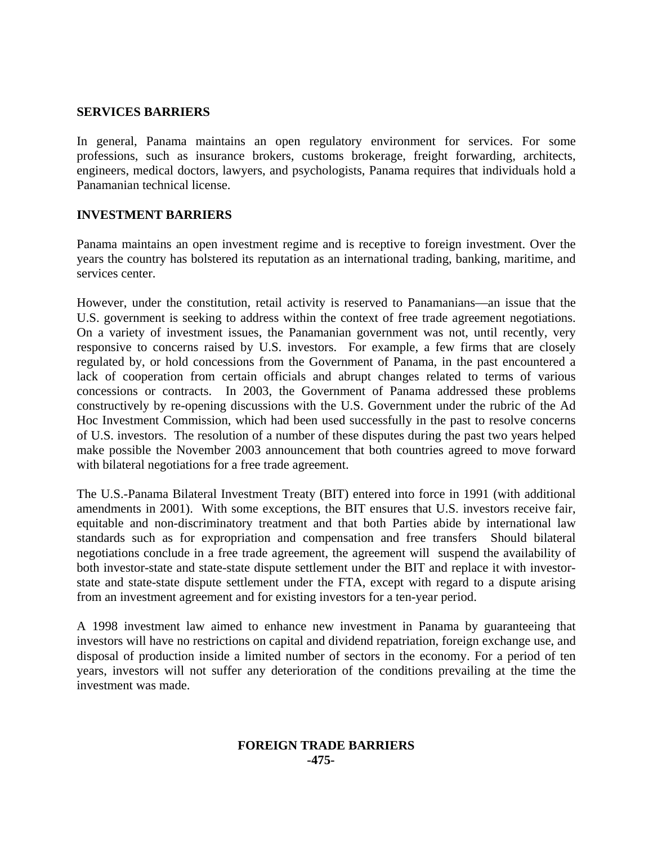## **SERVICES BARRIERS**

In general, Panama maintains an open regulatory environment for services. For some professions, such as insurance brokers, customs brokerage, freight forwarding, architects, engineers, medical doctors, lawyers, and psychologists, Panama requires that individuals hold a Panamanian technical license.

# **INVESTMENT BARRIERS**

Panama maintains an open investment regime and is receptive to foreign investment. Over the years the country has bolstered its reputation as an international trading, banking, maritime, and services center.

However, under the constitution, retail activity is reserved to Panamanians—an issue that the U.S. government is seeking to address within the context of free trade agreement negotiations. On a variety of investment issues, the Panamanian government was not, until recently, very responsive to concerns raised by U.S. investors. For example, a few firms that are closely regulated by, or hold concessions from the Government of Panama, in the past encountered a lack of cooperation from certain officials and abrupt changes related to terms of various concessions or contracts. In 2003, the Government of Panama addressed these problems constructively by re-opening discussions with the U.S. Government under the rubric of the Ad Hoc Investment Commission, which had been used successfully in the past to resolve concerns of U.S. investors. The resolution of a number of these disputes during the past two years helped make possible the November 2003 announcement that both countries agreed to move forward with bilateral negotiations for a free trade agreement.

The U.S.-Panama Bilateral Investment Treaty (BIT) entered into force in 1991 (with additional amendments in 2001). With some exceptions, the BIT ensures that U.S. investors receive fair, equitable and non-discriminatory treatment and that both Parties abide by international law standards such as for expropriation and compensation and free transfers Should bilateral negotiations conclude in a free trade agreement, the agreement will suspend the availability of both investor-state and state-state dispute settlement under the BIT and replace it with investorstate and state-state dispute settlement under the FTA, except with regard to a dispute arising from an investment agreement and for existing investors for a ten-year period.

A 1998 investment law aimed to enhance new investment in Panama by guaranteeing that investors will have no restrictions on capital and dividend repatriation, foreign exchange use, and disposal of production inside a limited number of sectors in the economy. For a period of ten years, investors will not suffer any deterioration of the conditions prevailing at the time the investment was made.

## **FOREIGN TRADE BARRIERS -475-**